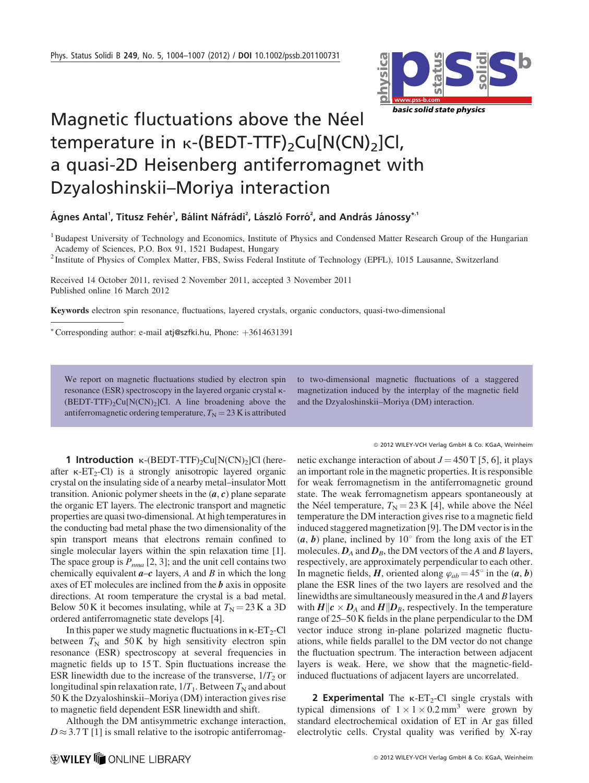

## Magnetic fluctuations above the Néel temperature in  $\kappa$ -(BEDT-TTF)<sub>2</sub>Cu[N(CN)<sub>2</sub>]Cl, a quasi-2D Heisenberg antiferromagnet with Dzyaloshinskii–Moriya interaction

Ágnes Antal<sup>1</sup>, Titusz Fehér<sup>1</sup>, Bálint Náfrádi<sup>2</sup>, László Forró<sup>2</sup>, and András Jánossy\*<sup>.1</sup>

<sup>1</sup> Budapest University of Technology and Economics, Institute of Physics and Condensed Matter Research Group of the Hungarian Academy of Sciences, P.O. Box 91, 1521 Budapest, Hungary

<sup>2</sup> Institute of Physics of Complex Matter, FBS, Swiss Federal Institute of Technology (EPFL), 1015 Lausanne, Switzerland

Received 14 October 2011, revised 2 November 2011, accepted 3 November 2011 Published online 16 March 2012

Keywords electron spin resonance, fluctuations, layered crystals, organic conductors, quasi-two-dimensional

\* Corresponding author: e-mail atj@szfki.hu, Phone: +3614631391

We report on magnetic fluctuations studied by electron spin resonance (ESR) spectroscopy in the layered organic crystal k-  $(BEDT-TTF)_{2}Cu[N(CN)_{2}]Cl$ . A line broadening above the antiferromagnetic ordering temperature,  $T_N = 23$  K is attributed to two-dimensional magnetic fluctuations of a staggered magnetization induced by the interplay of the magnetic field and the Dzyaloshinskii–Moriya (DM) interaction.

2012 WILEY-VCH Verlag GmbH & Co. KGaA, Weinheim

1 Introduction  $\kappa$ -(BEDT-TTF)<sub>2</sub>Cu[N(CN)<sub>2</sub>]Cl (hereafter  $\kappa$ -ET<sub>2</sub>-Cl) is a strongly anisotropic layered organic crystal on the insulating side of a nearby metal–insulator Mott transition. Anionic polymer sheets in the  $(a, c)$  plane separate the organic ET layers. The electronic transport and magnetic properties are quasi two-dimensional. At high temperatures in the conducting bad metal phase the two dimensionality of the spin transport means that electrons remain confined to single molecular layers within the spin relaxation time [1]. The space group is  $P_{nma}$  [2, 3]; and the unit cell contains two chemically equivalent  $a-c$  layers, A and B in which the long axes of ET molecules are inclined from the  **axis in opposite** directions. At room temperature the crystal is a bad metal. Below 50 K it becomes insulating, while at  $T<sub>N</sub> = 23$  K a 3D ordered antiferromagnetic state develops [4].

In this paper we study magnetic fluctuations in  $\kappa$ -ET<sub>2</sub>-Cl between  $T_N$  and 50 K by high sensitivity electron spin resonance (ESR) spectroscopy at several frequencies in magnetic fields up to 15 T. Spin fluctuations increase the ESR linewidth due to the increase of the transverse,  $1/T<sub>2</sub>$  or longitudinal spin relaxation rate,  $1/T_1$ . Between  $T_N$  and about 50 K the Dzyaloshinskii–Moriya (DM) interaction gives rise to magnetic field dependent ESR linewidth and shift.

Although the DM antisymmetric exchange interaction,  $D \approx 3.7$  T [1] is small relative to the isotropic antiferromagnetic exchange interaction of about  $J = 450$  T [5, 6], it plays an important role in the magnetic properties. It is responsible for weak ferromagnetism in the antiferromagnetic ground state. The weak ferromagnetism appears spontaneously at the Néel temperature,  $T_N = 23$  K [4], while above the Néel temperature the DM interaction gives rise to a magnetic field induced staggered magnetization [9]. The DM vector is in the  $(a, b)$  plane, inclined by 10 $\degree$  from the long axis of the ET molecules.  $D_A$  and  $D_B$ , the DM vectors of the A and B layers, respectively, are approximately perpendicular to each other. In magnetic fields, H, oriented along  $\varphi_{ab} = 45^\circ$  in the  $(a, b)$ plane the ESR lines of the two layers are resolved and the linewidths are simultaneously measured in the A and B layers with  $H\|c \times D_A$  and  $H\|D_B$ , respectively. In the temperature range of 25–50 K fields in the plane perpendicular to the DM vector induce strong in-plane polarized magnetic fluctuations, while fields parallel to the DM vector do not change the fluctuation spectrum. The interaction between adjacent layers is weak. Here, we show that the magnetic-fieldinduced fluctuations of adjacent layers are uncorrelated.

**2 Experimental** The  $\kappa$ -ET<sub>2</sub>-Cl single crystals with typical dimensions of  $1 \times 1 \times 0.2$  mm<sup>3</sup> were grown by standard electrochemical oxidation of ET in Ar gas filled electrolytic cells. Crystal quality was verified by X-ray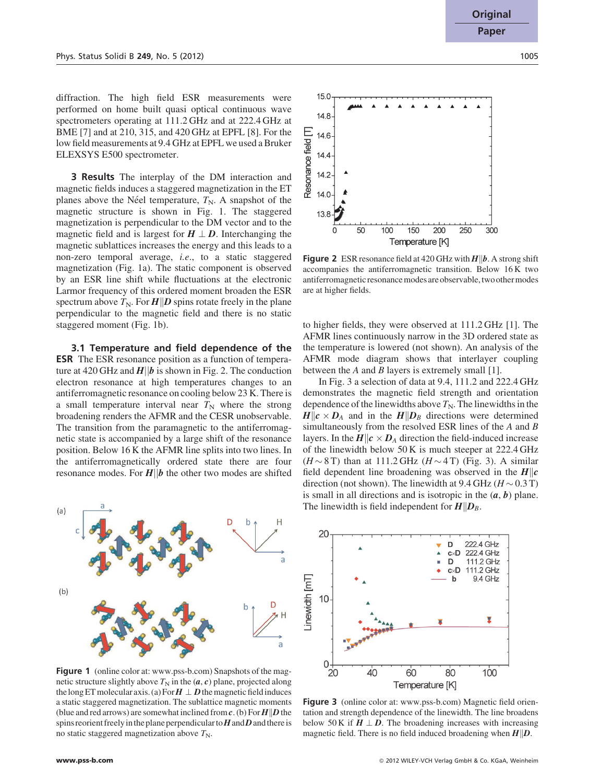diffraction. The high field ESR measurements were performed on home built quasi optical continuous wave spectrometers operating at 111.2 GHz and at 222.4 GHz at BME [7] and at 210, 315, and 420 GHz at EPFL [8]. For the low field measurements at 9.4 GHz at EPFL we used a Bruker ELEXSYS E500 spectrometer.

3 Results The interplay of the DM interaction and magnetic fields induces a staggered magnetization in the ET planes above the Néel temperature,  $T_N$ . A snapshot of the magnetic structure is shown in Fig. 1. The staggered magnetization is perpendicular to the DM vector and to the magnetic field and is largest for  $H \perp D$ . Interchanging the magnetic sublattices increases the energy and this leads to a non-zero temporal average, i.e., to a static staggered magnetization (Fig. 1a). The static component is observed by an ESR line shift while fluctuations at the electronic Larmor frequency of this ordered moment broaden the ESR spectrum above  $T_N$ . For  $H||D$  spins rotate freely in the plane perpendicular to the magnetic field and there is no static staggered moment (Fig. 1b).

3.1 Temperature and field dependence of the **ESR** The ESR resonance position as a function of temperature at 420 GHz and  $H||b$  is shown in Fig. 2. The conduction electron resonance at high temperatures changes to an antiferromagnetic resonance on cooling below 23 K. There is a small temperature interval near  $T_N$  where the strong broadening renders the AFMR and the CESR unobservable. The transition from the paramagnetic to the antiferromagnetic state is accompanied by a large shift of the resonance position. Below 16 K the AFMR line splits into two lines. In the antiferromagnetically ordered state there are four resonance modes. For  $H||b$  the other two modes are shifted



Figure 1 (online color at: www.pss-b.com) Snapshots of the magnetic structure slightly above  $T_N$  in the  $(a, c)$  plane, projected along the long ET molecular axis. (a) For  $H \perp D$  the magnetic field induces a static staggered magnetization. The sublattice magnetic moments (blue and red arrows) are somewhat inclined from  $c$ . (b) For  $H||D$  the spins reorient freely in the plane perpendicular to  $H$  and  $D$  and there is no static staggered magnetization above  $T_N$ .



Figure 2 ESR resonance field at 420 GHz with  $H||b$ . A strong shift accompanies the antiferromagnetic transition. Below 16 K two antiferromagnetic resonance modes are observable, two other modes are at higher fields.

to higher fields, they were observed at 111.2 GHz [1]. The AFMR lines continuously narrow in the 3D ordered state as the temperature is lowered (not shown). An analysis of the AFMR mode diagram shows that interlayer coupling between the A and B layers is extremely small [1].

In Fig. 3 a selection of data at 9.4, 111.2 and 222.4 GHz demonstrates the magnetic field strength and orientation dependence of the linewidths above  $T_N$ . The linewidths in the  $H \| c \times D_A$  and in the  $H \| D_B$  directions were determined simultaneously from the resolved ESR lines of the A and B layers. In the  $H \| c \times D_A$  direction the field-induced increase of the linewidth below 50 K is much steeper at 222.4 GHz  $(H \sim 8 \text{ T})$  than at 111.2 GHz  $(H \sim 4 \text{ T})$  (Fig. 3). A similar field dependent line broadening was observed in the  $H||c$ direction (not shown). The linewidth at 9.4 GHz ( $H \sim 0.3$  T) is small in all directions and is isotropic in the  $(a, b)$  plane. The linewidth is field independent for  $H||D_B$ .



Figure 3 (online color at: www.pss-b.com) Magnetic field orientation and strength dependence of the linewidth. The line broadens below 50 K if  $H \perp D$ . The broadening increases with increasing magnetic field. There is no field induced broadening when  $H||D$ .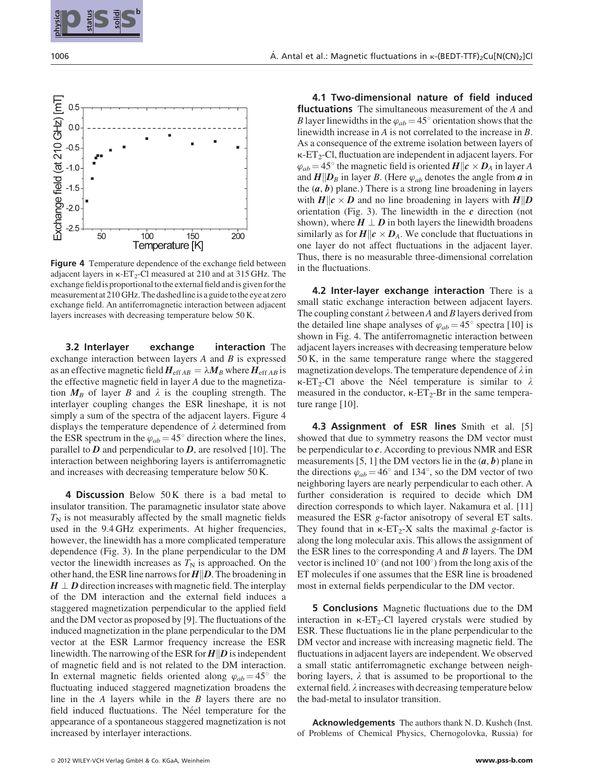



Figure 4 Temperature dependence of the exchange field between adjacent layers in  $\kappa$ -ET<sub>2</sub>-Cl measured at 210 and at 315 GHz. The exchange field is proportional to the external field and is given for the measurement at 210 GHz. The dashed line is a guide to the eye at zero exchange field. An antiferromagnetic interaction between adjacent layers increases with decreasing temperature below 50 K.

3.2 Interlayer exchange interaction The exchange interaction between layers  $A$  and  $B$  is expressed as an effective magnetic field  $H_{\text{eff} AB} = \lambda M_B$  where  $H_{\text{eff} AB}$  is the effective magnetic field in layer A due to the magnetization  $M_B$  of layer B and  $\lambda$  is the coupling strength. The interlayer coupling changes the ESR lineshape, it is not simply a sum of the spectra of the adjacent layers. Figure 4 displays the temperature dependence of  $\lambda$  determined from the ESR spectrum in the  $\varphi_{ab} = 45^{\circ}$  direction where the lines, parallel to  $D$  and perpendicular to  $D$ , are resolved [10]. The interaction between neighboring layers is antiferromagnetic and increases with decreasing temperature below 50 K.

**4 Discussion** Below 50 K there is a bad metal to insulator transition. The paramagnetic insulator state above  $T<sub>N</sub>$  is not measurably affected by the small magnetic fields used in the 9.4 GHz experiments. At higher frequencies, however, the linewidth has a more complicated temperature dependence (Fig. 3). In the plane perpendicular to the DM vector the linewidth increases as  $T_N$  is approached. On the other hand, the ESR line narrows for  $H||D$ . The broadening in  $H \perp D$  direction increases with magnetic field. The interplay of the DM interaction and the external field induces a staggered magnetization perpendicular to the applied field and the DM vector as proposed by [9]. The fluctuations of the induced magnetization in the plane perpendicular to the DM vector at the ESR Larmor frequency increase the ESR linewidth. The narrowing of the ESR for  $H\|D$  is independent of magnetic field and is not related to the DM interaction. In external magnetic fields oriented along  $\varphi_{ab} = 45^\circ$  the fluctuating induced staggered magnetization broadens the line in the  $A$  layers while in the  $B$  layers there are no field induced fluctuations. The Néel temperature for the appearance of a spontaneous staggered magnetization is not increased by interlayer interactions.

4.1 Two-dimensional nature of field induced **fluctuations** The simultaneous measurement of the A and B layer linewidths in the  $\varphi_{ab} = 45^\circ$  orientation shows that the linewidth increase in A is not correlated to the increase in B. As a consequence of the extreme isolation between layers of  $\kappa$ -ET<sub>2</sub>-Cl, fluctuation are independent in adjacent layers. For  $\varphi_{ab} = 45^{\circ}$  the magnetic field is oriented  $H \| c \times D_A$  in layer A and  $H||D_B$  in layer B. (Here  $\varphi_{ab}$  denotes the angle from a in the  $(a, b)$  plane.) There is a strong line broadening in layers with  $H||c \times D$  and no line broadening in layers with  $H||D$ orientation (Fig. 3). The linewidth in the  $c$  direction (not shown), where  $H \perp D$  in both layers the linewidth broadens similarly as for  $H \| c \times D_A$ . We conclude that fluctuations in one layer do not affect fluctuations in the adjacent layer. Thus, there is no measurable three-dimensional correlation in the fluctuations.

4.2 Inter-layer exchange interaction There is a small static exchange interaction between adjacent layers. The coupling constant  $\lambda$  between A and B layers derived from the detailed line shape analyses of  $\varphi_{ab} = 45^{\circ}$  spectra [10] is shown in Fig. 4. The antiferromagnetic interaction between adjacent layers increases with decreasing temperature below 50 K, in the same temperature range where the staggered magnetization develops. The temperature dependence of  $\lambda$  in  $\kappa$ -ET<sub>2</sub>-Cl above the Néel temperature is similar to  $\lambda$ measured in the conductor,  $\kappa$ -ET<sub>2</sub>-Br in the same temperature range [10].

4.3 Assignment of ESR lines Smith et al. [5] showed that due to symmetry reasons the DM vector must be perpendicular to c. According to previous NMR and ESR measurements [5, 1] the DM vectors lie in the  $(a, b)$  plane in the directions  $\varphi_{ab} = 46^\circ$  and 134°, so the DM vector of two neighboring layers are nearly perpendicular to each other. A further consideration is required to decide which DM direction corresponds to which layer. Nakamura et al. [11] measured the ESR g-factor anisotropy of several ET salts. They found that in  $\kappa$ -ET<sub>2</sub>-X salts the maximal g-factor is along the long molecular axis. This allows the assignment of the ESR lines to the corresponding  $A$  and  $B$  layers. The DM vector is inclined 10 $\degree$  (and not 100 $\degree$ ) from the long axis of the ET molecules if one assumes that the ESR line is broadened most in external fields perpendicular to the DM vector.

5 Conclusions Magnetic fluctuations due to the DM interaction in  $\kappa$ -ET<sub>2</sub>-Cl layered crystals were studied by ESR. These fluctuations lie in the plane perpendicular to the DM vector and increase with increasing magnetic field. The fluctuations in adjacent layers are independent. We observed a small static antiferromagnetic exchange between neighboring layers,  $\lambda$  that is assumed to be proportional to the external field.  $\lambda$  increases with decreasing temperature below the bad-metal to insulator transition.

Acknowledgements The authors thank N. D. Kushch (Inst. of Problems of Chemical Physics, Chernogolovka, Russia) for